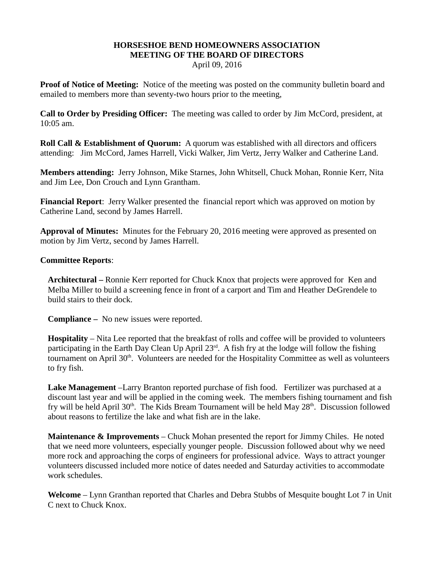## **HORSESHOE BEND HOMEOWNERS ASSOCIATION MEETING OF THE BOARD OF DIRECTORS**

April 09, 2016

**Proof of Notice of Meeting:** Notice of the meeting was posted on the community bulletin board and emailed to members more than seventy-two hours prior to the meeting,

**Call to Order by Presiding Officer:** The meeting was called to order by Jim McCord, president, at 10:05 am.

**Roll Call & Establishment of Quorum:** A quorum was established with all directors and officers attending: Jim McCord, James Harrell, Vicki Walker, Jim Vertz, Jerry Walker and Catherine Land.

**Members attending:** Jerry Johnson, Mike Starnes, John Whitsell, Chuck Mohan, Ronnie Kerr, Nita and Jim Lee, Don Crouch and Lynn Grantham.

**Financial Report**: Jerry Walker presented the financial report which was approved on motion by Catherine Land, second by James Harrell.

**Approval of Minutes:** Minutes for the February 20, 2016 meeting were approved as presented on motion by Jim Vertz, second by James Harrell.

## **Committee Reports**:

**Architectural –** Ronnie Kerr reported for Chuck Knox that projects were approved for Ken and Melba Miller to build a screening fence in front of a carport and Tim and Heather DeGrendele to build stairs to their dock.

**Compliance –** No new issues were reported.

**Hospitality** – Nita Lee reported that the breakfast of rolls and coffee will be provided to volunteers participating in the Earth Day Clean Up April  $23<sup>rd</sup>$ . A fish fry at the lodge will follow the fishing tournament on April 30<sup>th</sup>. Volunteers are needed for the Hospitality Committee as well as volunteers to fry fish.

**Lake Management** –Larry Branton reported purchase of fish food. Fertilizer was purchased at a discount last year and will be applied in the coming week. The members fishing tournament and fish fry will be held April  $30<sup>th</sup>$ . The Kids Bream Tournament will be held May  $28<sup>th</sup>$ . Discussion followed about reasons to fertilize the lake and what fish are in the lake.

**Maintenance & Improvements** – Chuck Mohan presented the report for Jimmy Chiles. He noted that we need more volunteers, especially younger people. Discussion followed about why we need more rock and approaching the corps of engineers for professional advice. Ways to attract younger volunteers discussed included more notice of dates needed and Saturday activities to accommodate work schedules.

**Welcome** – Lynn Granthan reported that Charles and Debra Stubbs of Mesquite bought Lot 7 in Unit C next to Chuck Knox.